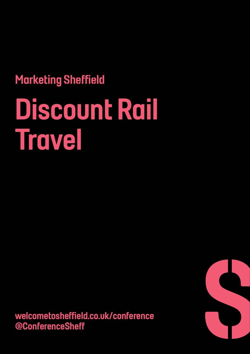# Marketing Sheffield Discount Rail Travel

welcometosheffield.co.uk/conference @ConferenceSheff

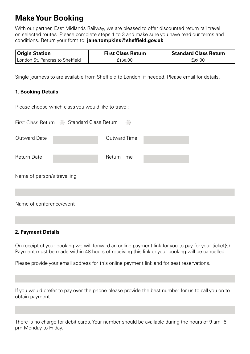# **Make Your Booking**

With our partner, East Midlands Railway, we are pleased to offer discounted return rail travel on selected routes. Please complete steps 1 to 3 and make sure you have read our terms and conditions. Return your form to: **jane.tompkins@sheffield.gov.uk**

| <b>Origin Station</b>           | <b>First Class Return</b> | <b>Standard Class Return</b> |
|---------------------------------|---------------------------|------------------------------|
| London St. Pancras to Sheffield | 130.00ثـ                  | £99.00                       |

Single journeys to are available from Sheffield to London, if needed. Please email for details.

#### **1. Booking Details**

Please choose which class you would like to travel:

| First Class Return          | ◯ Standard Class Return |                    |  |
|-----------------------------|-------------------------|--------------------|--|
| Outward Date                |                         | Outward Time       |  |
| <b>Return Date</b>          |                         | <b>Return Time</b> |  |
| Name of person/s travelling |                         |                    |  |
|                             |                         |                    |  |
| Name of conference/event    |                         |                    |  |

#### **2. Payment Details**

On receipt of your booking we will forward an online payment link for you to pay for your ticket(s). Payment must be made within 48 hours of receiving this link or your booking will be cancelled.

Please provide your email address for this online payment link and for seat reservations.

If you would prefer to pay over the phone please provide the best number for us to call you on to obtain payment.

There is no charge for debit cards. Your number should be available during the hours of 9 am- 5 pm Monday to Friday.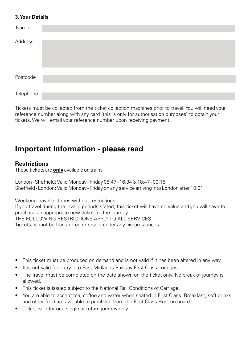#### **3. Your Details**

| Name      |  |
|-----------|--|
| Address   |  |
| Postcode  |  |
|           |  |
| Telephone |  |

Tickets must be collected from the ticket collection machines prior to travel. You will need your reference number along with any card (this is only for authorisation purposes) to obtain your tickets. We will email your reference number upon receiving payment.

# **Important Information - please read**

#### **Restrictions**

These tickets are **only** available on trains

London - Sheffield: Valid Monday - Friday 08:47 - 16:34 & 18:47 - 00:15 Sheffield - London: Valid Monday - Friday on any service arriving into London after 10:01

Weekend travel all times without restrictions. If you travel during the invalid periods stated, this ticket will have no value and you will have to purchase an appropriate new ticket for the journey. THE FOLLOWING RESTRICTIONS APPLY TO ALL SERVICES Tickets cannot be transferred or resold under any circumstances.

- This ticket must be produced on demand and is not valid if it has been altered in any way.
- It is not valid for entry into East Midlands Railway First Class Lounges.
- The Travel must be completed on the date shown on the ticket only. No break of journey is allowed.
- This ticket is issued subject to the National Rail Conditions of Carriage.
- You are able to accept tea, coffee and water when seated in First Class. Breakfast, soft drinks and other food are available to purchase from the First Class Host on board.
- Ticket valid for one single or return journey only.